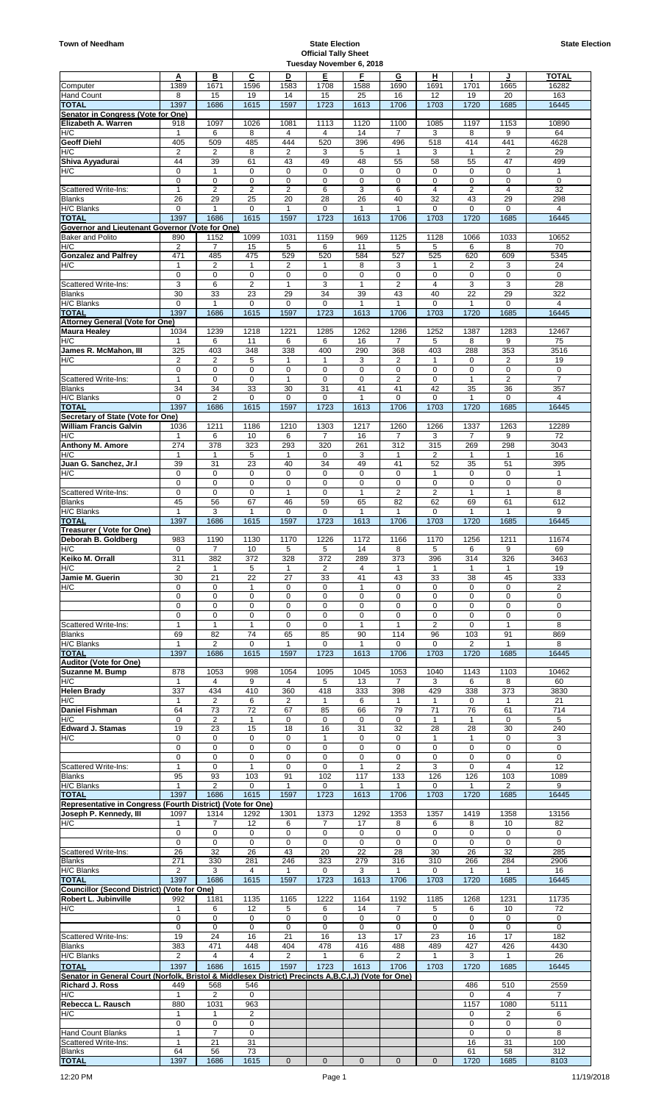|                                                                                                          | A                       | в                             | C                       | D                  | Е                    | F                  | G                      | н                    |                    | J                          | TOTAL                   |
|----------------------------------------------------------------------------------------------------------|-------------------------|-------------------------------|-------------------------|--------------------|----------------------|--------------------|------------------------|----------------------|--------------------|----------------------------|-------------------------|
| Computer<br>Hand Count                                                                                   | 1389<br>8               | 1671<br>15                    | 1596<br>19              | 1583<br>14         | 1708<br>15           | 1588<br>25         | 1690<br>16             | 1691<br>12           | 1701<br>19         | 1665<br>20                 | 16282<br>163            |
| <b>TOTAL</b>                                                                                             | 1397                    | 1686                          | 1615                    | 1597               | 1723                 | 1613               | 1706                   | 1703                 | 1720               | 1685                       | 16445                   |
| Senator in Congress (Vote for One)<br>Elizabeth A. Warren                                                | 918                     | 1097                          | 1026                    | 1081               | 1113                 | 1120               | 1100                   | 1085                 | 1197               | 1153                       | 10890                   |
| H/C                                                                                                      | $\mathbf{1}$            | 6                             | 8                       | 4                  | 4                    | 14                 | 7                      | 3                    | 8                  | 9                          | 64                      |
| <b>Geoff Diehl</b>                                                                                       | 405                     | 509                           | 485                     | 444                | 520                  | 396                | 496                    | 518                  | 414                | 441                        | 4628                    |
| H/C<br>Shiva Ayyadurai                                                                                   | $\overline{2}$<br>44    | 2<br>39                       | 8<br>61                 | 2<br>43            | 3<br>49              | 5<br>48            | 1<br>55                | 3<br>58              | 1<br>55            | 2<br>47                    | 29<br>499               |
| H/C                                                                                                      | 0                       | 1                             | 0                       | 0                  | 0                    | 0                  | 0                      | 0                    | 0                  | $\mathbf 0$                | $\mathbf{1}$            |
|                                                                                                          | 0                       | $\mathbf 0$                   | 0                       | 0                  | $\mathbf 0$          | 0                  | $\mathbf 0$            | 0                    | 0                  | $\mathbf 0$                | $\mathbf 0$             |
| <b>Scattered Write-Ins:</b>                                                                              | 1                       | $\overline{2}$                | 2                       | 2                  | 6                    | 3                  | 6                      | $\overline{4}$<br>32 | 2                  | 4                          | 32                      |
| <b>Blanks</b><br>H/C Blanks                                                                              | 26<br>$\mathbf 0$       | 29<br>$\mathbf{1}$            | 25<br>$\mathbf 0$       | 20<br>$\mathbf{1}$ | 28<br>$\mathbf 0$    | 26<br>$\mathbf{1}$ | 40<br>$\overline{1}$   | $\mathbf 0$          | 43<br>$\mathbf 0$  | 29<br>0                    | 298<br>4                |
| <b>TOTAL</b>                                                                                             | 1397                    | 1686                          | 1615                    | 1597               | 1723                 | 1613               | 1706                   | 1703                 | 1720               | 1685                       | 16445                   |
| Governor and Lieutenant Governor (Vote for One)<br><b>Baker and Polito</b>                               | 890                     | 1152                          | 1099                    | 1031               | 1159                 | 969                | 1125                   | 1128                 | 1066               | 1033                       | 10652                   |
| H/C                                                                                                      | $\overline{2}$          | 7                             | 15                      | 5                  | 6                    | 11                 | 5                      | 5                    | 6                  | 8                          | 70                      |
| <b>Gonzalez and Palfrey</b>                                                                              | 471                     | 485                           | 475                     | 529                | 520                  | 584                | 527                    | 525                  | 620                | 609                        | 5345                    |
| H/C                                                                                                      | 1<br>0                  | $\overline{2}$<br>$\mathbf 0$ | 1<br>0                  | 2<br>0             | 1<br>0               | 8<br>0             | 3<br>0                 | 1<br>0               | 2<br>0             | 3<br>$\mathbf 0$           | 24<br>$\mathbf 0$       |
| Scattered Write-Ins:                                                                                     | 3                       | 6                             | $\overline{\mathbf{c}}$ | $\mathbf{1}$       | 3                    | $\mathbf{1}$       | $\overline{2}$         | $\overline{4}$       | 3                  | 3                          | 28                      |
| <b>Blanks</b>                                                                                            | 30                      | 33                            | 23                      | 29                 | 34                   | 39                 | 43                     | 40                   | 22                 | 29                         | 322                     |
| H/C Blanks<br><b>TOTAL</b>                                                                               | $\mathbf 0$<br>1397     | 1<br>1686                     | 0<br>1615               | 0<br>1597          | $\mathbf 0$<br>1723  | 1<br>1613          | 1<br>1706              | 0<br>1703            | 1<br>1720          | 0<br>1685                  | 4<br>16445              |
| <b>Attorney General (Vote for One)</b>                                                                   |                         |                               |                         |                    |                      |                    |                        |                      |                    |                            |                         |
| <b>Maura Healey</b>                                                                                      | 1034                    | 1239                          | 1218                    | 1221               | 1285                 | 1262               | 1286                   | 1252                 | 1387               | 1283                       | 12467                   |
| H/C<br>James R. McMahon. III                                                                             | 325                     | 6<br>403                      | 11<br>348               | 6<br>338           | 6<br>400             | 16<br>290          | 7<br>368               | 5<br>403             | 8<br>288           | 9<br>353                   | $\overline{75}$<br>3516 |
| H/C                                                                                                      | $\overline{\mathbf{c}}$ | $\overline{2}$                | 5                       | 1                  | $\mathbf{1}$         | 3                  | $\overline{2}$         | 1                    | 0                  | $\overline{2}$             | 19                      |
|                                                                                                          | 0                       | 0                             | 0                       | 0                  | 0                    | 0                  | 0                      | 0                    | 0                  | 0                          | 0                       |
| Scattered Write-Ins:<br><b>Blanks</b>                                                                    | $\mathbf{1}$<br>34      | $\mathbf 0$<br>34             | 0<br>33                 | $\mathbf{1}$<br>30 | $\mathbf 0$<br>31    | 0<br>41            | $\overline{2}$<br>41   | 0<br>42              | $\mathbf{1}$<br>35 | $\sqrt{2}$<br>36           | $\overline{7}$<br>357   |
| H/C Blanks                                                                                               | 0                       | 2                             | 0                       | 0                  | $\mathbf 0$          | 1                  | $\mathbf 0$            | 0                    | 1                  | 0                          | 4                       |
| <b>TOTAL</b>                                                                                             | 1397                    | 1686                          | 1615                    | 1597               | 1723                 | 1613               | 1706                   | 1703                 | 1720               | 1685                       | 16445                   |
| Secretary of State (Vote for One)<br><b>William Francis Galvin</b>                                       | 1036                    | 1211                          | 1186                    | 1210               | 1303                 | 1217               | 1260                   | 1266                 | 1337               | 1263                       | 12289                   |
| H/C                                                                                                      | 1                       | 6                             | 10                      | 6                  | $\overline{7}$       | 16                 | $\overline{7}$         | 3                    | 7                  | 9                          | 72                      |
| <b>Anthony M. Amore</b>                                                                                  | 274                     | 378                           | 323                     | 293                | 320                  | 261                | 312                    | 315                  | 269                | 298                        | 3043                    |
| H/C<br>Juan G. Sanchez, Jr.I                                                                             | $\mathbf{1}$<br>39      | $\mathbf{1}$<br>31            | 5<br>23                 | $\mathbf{1}$<br>40 | 0<br>34              | 3<br>49            | $\mathbf{1}$<br>41     | 2<br>52              | $\mathbf{1}$<br>35 | $\mathbf{1}$<br>51         | 16<br>395               |
| H/C                                                                                                      | 0                       | 0                             | 0                       | 0                  | 0                    | 0                  | 0                      | 1                    | 0                  | 0                          | 1                       |
|                                                                                                          | 0                       | 0                             | 0                       | 0                  | 0                    | 0                  | $\pmb{0}$              | 0                    | 0                  | $\mathbf 0$                | $\pmb{0}$               |
| Scattered Write-Ins:<br><b>Blanks</b>                                                                    | 0<br>45                 | 0<br>56                       | 0<br>67                 | 1<br>46            | 0<br>59              | 1<br>65            | $\overline{2}$<br>82   | $\overline{2}$<br>62 | 1<br>69            | 1<br>61                    | 8<br>612                |
| H/C Blanks                                                                                               | 1                       | 3                             | 1                       | 0                  | $\mathbf 0$          | 1                  | $\overline{1}$         | 0                    | $\mathbf{1}$       | 1                          | 9                       |
| <b>TOTAL</b>                                                                                             | 1397                    | 1686                          | 1615                    | 1597               | 1723                 | 1613               | 1706                   | 1703                 | 1720               | 1685                       | 16445                   |
| Treasurer (Vote for One)<br>Deborah B. Goldberg                                                          | 983                     | 1190                          | 1130                    | 1170               | 1226                 | 1172               | 1166                   | 1170                 | 1256               | 1211                       | 11674                   |
| H/C                                                                                                      | 0                       | 7                             | 10                      | 5                  | 5                    | 14                 | 8                      | 5                    | 6                  | 9                          | 69                      |
| Keiko M. Orrall                                                                                          | 311                     | 382                           | 372                     | 328                | 372                  | 289                | 373                    | 396                  | 314                | 326                        | 3463                    |
| H/C<br>Jamie M. Guerin                                                                                   | 2<br>30                 | $\mathbf{1}$<br>21            | 5<br>22                 | 1<br>27            | 2<br>33              | 4<br>41            | $\mathbf 1$<br>43      | 1<br>33              | 1<br>38            | $\mathbf{1}$<br>45         | 19<br>333               |
| H/C                                                                                                      | 0                       | 0                             | 1                       | 0                  | 0                    |                    | 0                      | 0                    | 0                  | $\mathbf 0$                | $\overline{2}$          |
|                                                                                                          | 0                       | 0                             | 0                       | 0                  | 0                    | 0                  | 0                      | $\mathbf 0$          | 0                  | $\mathbf 0$                | 0                       |
|                                                                                                          | 0<br>0                  | 0<br>0                        | 0<br>0                  | 0<br>0             | 0<br>0               | 0<br>0             | 0<br>0                 | 0<br>0               | 0<br>0             | 0<br>0                     | 0<br>0                  |
| Scattered Write-Ins:                                                                                     | 1                       | $\mathbf{1}$                  | $\mathbf{1}$            | 0                  | $\mathbf 0$          | $\mathbf{1}$       | $\mathbf{1}$           | 2                    | 0                  | 1                          | 8                       |
| <b>Blanks</b>                                                                                            | 69                      | 82                            | 74                      | 65                 | 85                   | 90                 | 114                    | 96                   | 103                | 91                         | 869                     |
| H/C Blanks                                                                                               | $\mathbf{1}$            | 2                             | 0                       | 1                  | 0                    | $\mathbf{1}$       | 0                      | 0                    | 2                  | $\mathbf{1}$               | 8                       |
| <b>TOTAL</b><br>Auditor (Vote for One)                                                                   | 1397                    | 1686                          | 1615                    | 1597               | 1723                 | 1613               | 1706                   | 1703                 | 1720               | 1685                       | 16445                   |
| Suzanne M. Bump                                                                                          | 878                     | 1053                          | 998                     | 1054               | 1095                 | 1045               | 1053                   | 1040                 | 1143               | 1103                       | 10462                   |
| H/C                                                                                                      | $\mathbf{1}$            | 4                             | 9                       | 4                  | 5                    | 13                 | 7                      | 3                    | 6                  | 8                          | 60                      |
| <b>Helen Brady</b><br>H/C                                                                                | 337<br>1                | 434<br>$\overline{2}$         | 410<br>6                | 360<br>2           | 418<br>$\mathbf{1}$  | 333<br>6           | 398<br>$\mathbf{1}$    | 429<br>1             | 338<br>0           | 373<br>$\mathbf{1}$        | 3830<br>21              |
| Daniel Fishman                                                                                           | 64                      | 73                            | 72                      | 67                 | 85                   | 66                 | 79                     | 71                   | 76                 | 61                         | 714                     |
| H/C                                                                                                      | 0                       | $\overline{2}$                | 1                       | 0                  | 0                    | 0                  | $\pmb{0}$              | 1                    | $\mathbf{1}$       | 0                          | 5                       |
| <b>Edward J. Stamas</b><br>H/C                                                                           | 19<br>0                 | 23<br>$\mathbf 0$             | 15<br>0                 | 18<br>0            | 16<br>$\mathbf{1}$   | 31<br>0            | 32<br>$\mathbf 0$      | 28<br>$\mathbf{1}$   | 28<br>$\mathbf{1}$ | 30<br>$\mathbf 0$          | 240<br>3                |
|                                                                                                          | 0                       | 0                             | 0                       | 0                  | 0                    | 0                  | 0                      | 0                    | 0                  | 0                          | $\mathbf 0$             |
| Scattered Write-Ins:                                                                                     | 0<br>1                  | 0<br>0                        | 0<br>$\mathbf{1}$       | 0<br>0             | $\mathbf 0$<br>0     | 0<br>1             | 0<br>$\overline{2}$    | 0<br>3               | 0<br>0             | $\mathbf 0$<br>4           | $\mathbf 0$<br>12       |
| <b>Blanks</b>                                                                                            | 95                      | 93                            | 103                     | 91                 | 102                  | 117                | 133                    | 126                  | 126                | 103                        | 1089                    |
| H/C Blanks                                                                                               | 1                       | $\overline{2}$                | 0                       | 1                  | $\mathbf 0$          | 1                  | 1                      | 0                    | 1                  | 2                          | 9                       |
| <b>TOTAL</b><br>Representative in Congress (Fourth District) (Vote for One)                              | 1397                    | 1686                          | 1615                    | 1597               | 1723                 | 1613               | 1706                   | 1703                 | 1720               | 1685                       | 16445                   |
| Joseph P. Kennedy, III                                                                                   | 1097                    | 1314                          | 1292                    | 1301               | 1373                 | 1292               | 1353                   | 1357                 | 1419               | 1358                       | 13156                   |
| H/C                                                                                                      | 1                       | 7                             | 12                      | 6                  | 7                    | 17                 | 8                      | 6                    | 8                  | 10                         | 82                      |
|                                                                                                          | 0<br>$\mathbf 0$        | 0<br>0                        | 0<br>0                  | 0<br>0             | 0<br>$\mathbf 0$     | 0<br>0             | 0<br>0                 | 0<br>0               | 0<br>$\mathbf 0$   | $\mathbf 0$<br>$\mathbf 0$ | 0<br>$\mathbf 0$        |
| Scattered Write-Ins:                                                                                     | 26                      | 32                            | 26                      | 43                 | 20                   | 22                 | 28                     | 30                   | 26                 | 32                         | 285                     |
| <b>Blanks</b>                                                                                            | 271                     | 330                           | 281                     | 246                | 323                  | 279                | 316                    | 310                  | 266                | 284                        | 2906                    |
| H/C Blanks<br>TOTAL                                                                                      | $\overline{2}$<br>1397  | 3<br>1686                     | $\overline{4}$<br>1615  | 1<br>1597          | $\mathbf 0$<br>1723  | 3<br>1613          | 1<br>1706              | 0<br>1703            | 1<br>1720          | 1<br>1685                  | 16<br>16445             |
| Councillor (Second District) (Vote for One)                                                              |                         |                               |                         |                    |                      |                    |                        |                      |                    |                            |                         |
| Robert L. Jubinville                                                                                     | 992                     | 1181                          | 1135                    | 1165               | 1222                 | 1164               | 1192                   | 1185                 | 1268               | 1231                       | 11735                   |
| H/C                                                                                                      | 1                       | 6<br>0                        | 12                      | 5<br>0             | 6<br>$\mathbf 0$     | 14                 | 7<br>$\pmb{0}$         | 5<br>$\mathbf 0$     | 6<br>0             | 10                         | 72                      |
|                                                                                                          | 0<br>0                  | 0                             | 0<br>0                  | 0                  | 0                    | 0<br>0             | 0                      | 0                    | 0                  | 0<br>0                     | 0<br>$\mathbf 0$        |
| Scattered Write-Ins:                                                                                     | 19                      | 24                            | 16                      | 21                 | 16                   | 13                 | 17                     | 23                   | 16                 | 17                         | 182                     |
| <b>Blanks</b>                                                                                            | 383                     | 471<br>$\overline{4}$         | 448                     | 404                | 478                  | 416                | 488                    | 489                  | 427                | 426                        | 4430                    |
| H/C Blanks<br><b>TOTAL</b>                                                                               | 2<br>1397               | 1686                          | 4<br>1615               | 2<br>1597          | $\mathbf{1}$<br>1723 | 6<br>1613          | $\overline{2}$<br>1706 | $\mathbf{1}$<br>1703 | 3<br>1720          | $\mathbf{1}$<br>1685       | 26<br>16445             |
| (Vote for One) Senator in General Court (Norfolk, Bristol & Middlesex District) Precincts A, B, C, I, J) |                         |                               |                         |                    |                      |                    |                        |                      |                    |                            |                         |
| <b>Richard J. Ross</b>                                                                                   | 449                     | 568                           | 546                     |                    |                      |                    |                        |                      | 486                | 510                        | 2559                    |
| H/C<br>Rebecca L. Rausch                                                                                 | 1<br>880                | 2<br>1031                     | 0<br>963                |                    |                      |                    |                        |                      | 0<br>1157          | 4<br>1080                  | 7<br>5111               |
| H/C                                                                                                      | 1                       | 1                             | 2                       |                    |                      |                    |                        |                      | 0                  | 2                          | 6                       |
|                                                                                                          | 0                       | 0                             | 0                       |                    |                      |                    |                        |                      | 0                  | 0                          | 0                       |
| <b>Hand Count Blanks</b>                                                                                 | 1<br>1                  | $\overline{7}$<br>21          | 0<br>31                 |                    |                      |                    |                        |                      | 0<br>16            | $\mathbf 0$<br>31          | 8<br>100                |

## **Official Tally Sheet Tuesday November 6, 2018**

Blanks | 64 | 56 | 73 | | | | | 61 | 58 | 312 **<u>TOTAL</u> | 1397 | 1686 | 1615 | 0 | 0 | 0 | 0 | 0 | 1720 | 1685 | 8103**